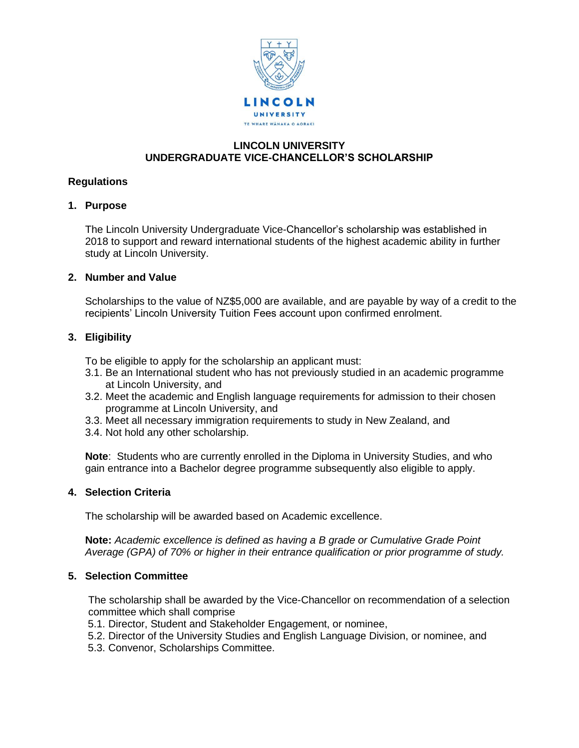

# **LINCOLN UNIVERSITY UNDERGRADUATE VICE-CHANCELLOR'S SCHOLARSHIP**

### **Regulations**

#### **1. Purpose**

The Lincoln University Undergraduate Vice-Chancellor's scholarship was established in 2018 to support and reward international students of the highest academic ability in further study at Lincoln University.

#### **2. Number and Value**

Scholarships to the value of NZ\$5,000 are available, and are payable by way of a credit to the recipients' Lincoln University Tuition Fees account upon confirmed enrolment.

# **3. Eligibility**

To be eligible to apply for the scholarship an applicant must:

- 3.1. Be an International student who has not previously studied in an academic programme at Lincoln University, and
- 3.2. Meet the academic and English language requirements for admission to their chosen programme at Lincoln University, and
- 3.3. Meet all necessary immigration requirements to study in New Zealand, and
- 3.4. Not hold any other scholarship.

**Note**: Students who are currently enrolled in the Diploma in University Studies, and who gain entrance into a Bachelor degree programme subsequently also eligible to apply.

#### **4. Selection Criteria**

The scholarship will be awarded based on Academic excellence.

**Note:** *Academic excellence is defined as having a B grade or Cumulative Grade Point Average (GPA) of 70% or higher in their entrance qualification or prior programme of study.*

### **5. Selection Committee**

The scholarship shall be awarded by the Vice-Chancellor on recommendation of a selection committee which shall comprise

- 5.1. Director, Student and Stakeholder Engagement, or nominee,
- 5.2. Director of the University Studies and English Language Division, or nominee, and
- 5.3. Convenor, Scholarships Committee.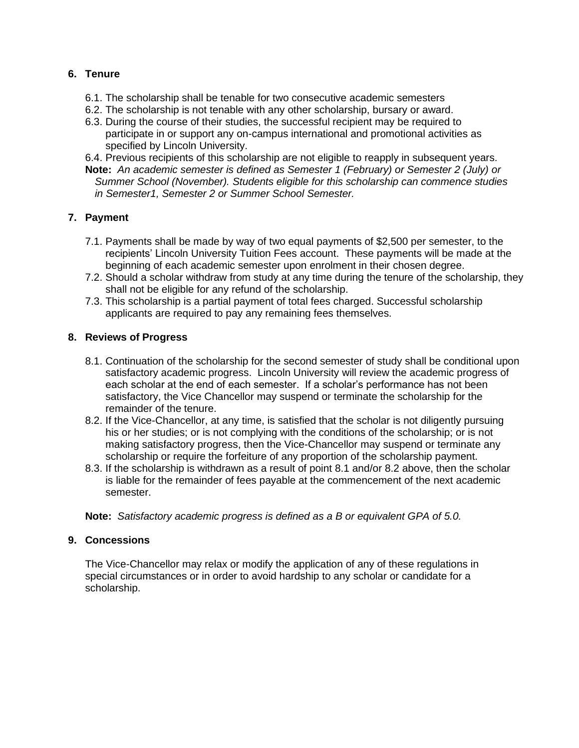# **6. Tenure**

- 6.1. The scholarship shall be tenable for two consecutive academic semesters
- 6.2. The scholarship is not tenable with any other scholarship, bursary or award.
- 6.3. During the course of their studies, the successful recipient may be required to participate in or support any on-campus international and promotional activities as specified by Lincoln University.
- 6.4. Previous recipients of this scholarship are not eligible to reapply in subsequent years.
- **Note:** *An academic semester is defined as Semester 1 (February) or Semester 2 (July) or Summer School (November). Students eligible for this scholarship can commence studies in Semester1, Semester 2 or Summer School Semester.*

# **7. Payment**

- 7.1. Payments shall be made by way of two equal payments of \$2,500 per semester, to the recipients' Lincoln University Tuition Fees account. These payments will be made at the beginning of each academic semester upon enrolment in their chosen degree.
- 7.2. Should a scholar withdraw from study at any time during the tenure of the scholarship, they shall not be eligible for any refund of the scholarship.
- 7.3. This scholarship is a partial payment of total fees charged. Successful scholarship applicants are required to pay any remaining fees themselves.

### **8. Reviews of Progress**

- 8.1. Continuation of the scholarship for the second semester of study shall be conditional upon satisfactory academic progress. Lincoln University will review the academic progress of each scholar at the end of each semester. If a scholar's performance has not been satisfactory, the Vice Chancellor may suspend or terminate the scholarship for the remainder of the tenure.
- 8.2. If the Vice-Chancellor, at any time, is satisfied that the scholar is not diligently pursuing his or her studies; or is not complying with the conditions of the scholarship; or is not making satisfactory progress, then the Vice-Chancellor may suspend or terminate any scholarship or require the forfeiture of any proportion of the scholarship payment.
- 8.3. If the scholarship is withdrawn as a result of point 8.1 and/or 8.2 above, then the scholar is liable for the remainder of fees payable at the commencement of the next academic semester.

**Note:** *Satisfactory academic progress is defined as a B or equivalent GPA of 5.0.* 

#### **9. Concessions**

The Vice-Chancellor may relax or modify the application of any of these regulations in special circumstances or in order to avoid hardship to any scholar or candidate for a scholarship.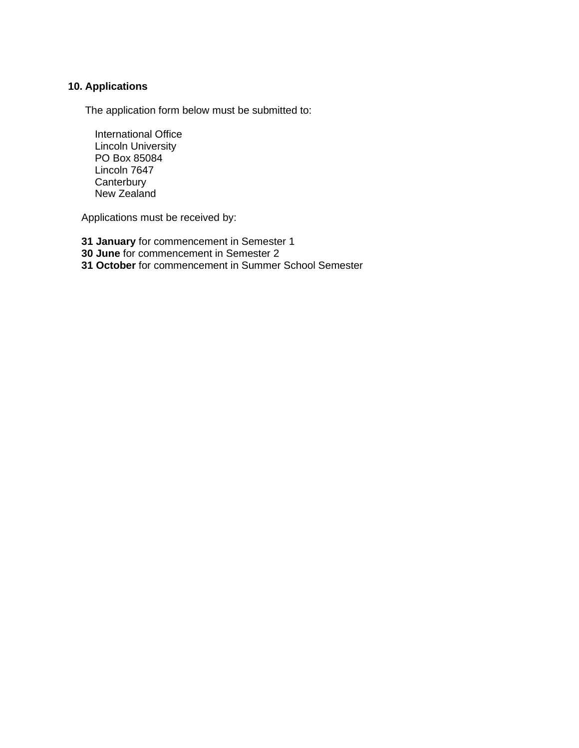# **10. Applications**

The application form below must be submitted to:

International Office Lincoln University PO Box 85084 Lincoln 7647 **Canterbury** New Zealand

Applications must be received by:

**31 January** for commencement in Semester 1

**30 June** for commencement in Semester 2

**31 October** for commencement in Summer School Semester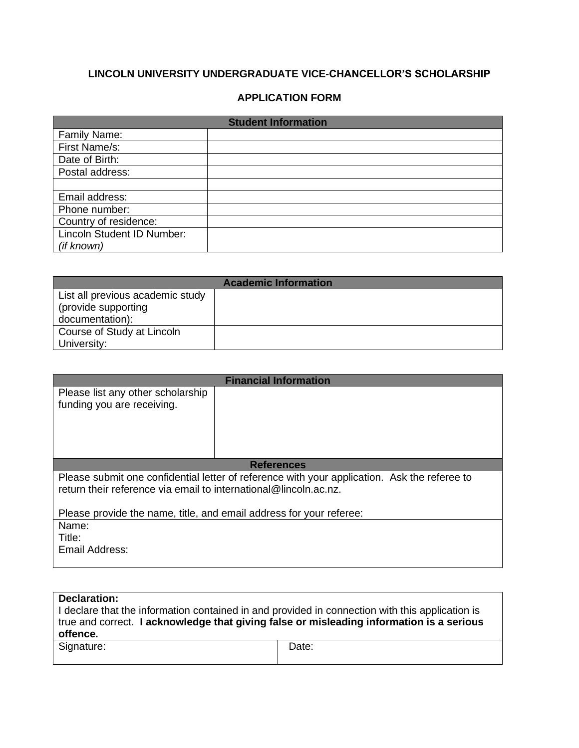# **LINCOLN UNIVERSITY UNDERGRADUATE VICE-CHANCELLOR'S SCHOLARSHIP**

### **APPLICATION FORM**

| <b>Student Information</b> |  |  |
|----------------------------|--|--|
| Family Name:               |  |  |
| First Name/s:              |  |  |
| Date of Birth:             |  |  |
| Postal address:            |  |  |
|                            |  |  |
| Email address:             |  |  |
| Phone number:              |  |  |
| Country of residence:      |  |  |
| Lincoln Student ID Number: |  |  |
| (if known)                 |  |  |

| <b>Academic Information</b>      |  |  |  |
|----------------------------------|--|--|--|
| List all previous academic study |  |  |  |
| (provide supporting              |  |  |  |
| documentation):                  |  |  |  |
| Course of Study at Lincoln       |  |  |  |
| University:                      |  |  |  |

| <b>Financial Information</b>                                                                                                                                     |  |  |  |  |
|------------------------------------------------------------------------------------------------------------------------------------------------------------------|--|--|--|--|
| Please list any other scholarship<br>funding you are receiving.                                                                                                  |  |  |  |  |
| <b>References</b>                                                                                                                                                |  |  |  |  |
| Please submit one confidential letter of reference with your application. Ask the referee to<br>return their reference via email to international@lincoln.ac.nz. |  |  |  |  |
| Please provide the name, title, and email address for your referee:                                                                                              |  |  |  |  |
| Name:                                                                                                                                                            |  |  |  |  |
| Title:                                                                                                                                                           |  |  |  |  |
| Email Address:                                                                                                                                                   |  |  |  |  |

| Declaration:                                                                                    |       |  |  |  |
|-------------------------------------------------------------------------------------------------|-------|--|--|--|
| I declare that the information contained in and provided in connection with this application is |       |  |  |  |
| true and correct. I acknowledge that giving false or misleading information is a serious        |       |  |  |  |
| offence.                                                                                        |       |  |  |  |
| Signature:                                                                                      | Date: |  |  |  |
|                                                                                                 |       |  |  |  |